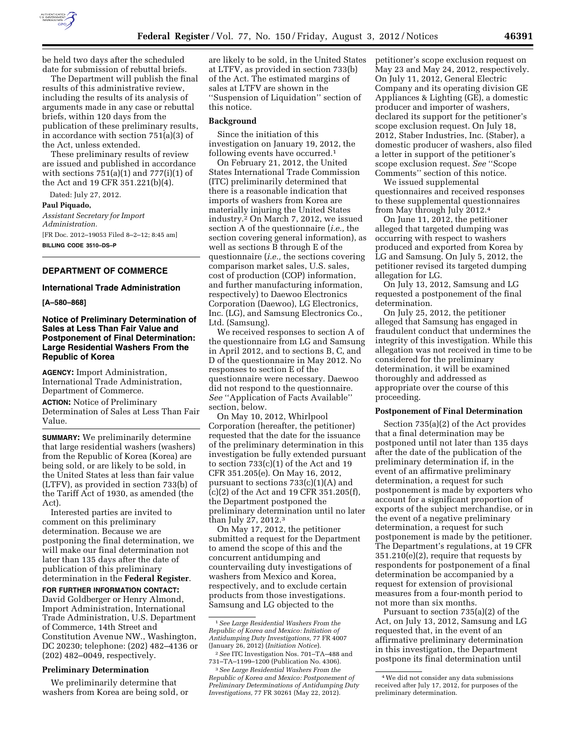

be held two days after the scheduled date for submission of rebuttal briefs.

The Department will publish the final results of this administrative review, including the results of its analysis of arguments made in any case or rebuttal briefs, within 120 days from the publication of these preliminary results, in accordance with section 751(a)(3) of the Act, unless extended.

These preliminary results of review are issued and published in accordance with sections  $751(a)(1)$  and  $777(i)(1)$  of the Act and 19 CFR 351.221(b)(4).

Dated: July 27, 2012.

**Paul Piquado,** 

*Assistant Secretary for Import Administration.*  [FR Doc. 2012–19053 Filed 8–2–12; 8:45 am] **BILLING CODE 3510–DS–P** 

# **DEPARTMENT OF COMMERCE**

# **International Trade Administration**

**[A–580–868]** 

# **Notice of Preliminary Determination of Sales at Less Than Fair Value and Postponement of Final Determination: Large Residential Washers From the Republic of Korea**

**AGENCY:** Import Administration, International Trade Administration, Department of Commerce.

**ACTION:** Notice of Preliminary Determination of Sales at Less Than Fair Value.

**SUMMARY:** We preliminarily determine that large residential washers (washers) from the Republic of Korea (Korea) are being sold, or are likely to be sold, in the United States at less than fair value (LTFV), as provided in section 733(b) of the Tariff Act of 1930, as amended (the Act).

Interested parties are invited to comment on this preliminary determination. Because we are postponing the final determination, we will make our final determination not later than 135 days after the date of publication of this preliminary determination in the **Federal Register**.

**FOR FURTHER INFORMATION CONTACT:**  David Goldberger or Henry Almond, Import Administration, International Trade Administration, U.S. Department of Commerce, 14th Street and Constitution Avenue NW., Washington, DC 20230; telephone: (202) 482–4136 or (202) 482–0049, respectively.

## **Preliminary Determination**

We preliminarily determine that washers from Korea are being sold, or

are likely to be sold, in the United States at LTFV, as provided in section 733(b) of the Act. The estimated margins of sales at LTFV are shown in the ''Suspension of Liquidation'' section of this notice.

#### **Background**

Since the initiation of this investigation on January 19, 2012, the following events have occurred.<sup>1</sup>

On February 21, 2012, the United States International Trade Commission (ITC) preliminarily determined that there is a reasonable indication that imports of washers from Korea are materially injuring the United States industry.2 On March 7, 2012, we issued section A of the questionnaire (*i.e.,* the section covering general information), as well as sections B through E of the questionnaire (*i.e.,* the sections covering comparison market sales, U.S. sales, cost of production (COP) information, and further manufacturing information, respectively) to Daewoo Electronics Corporation (Daewoo), LG Electronics, Inc. (LG), and Samsung Electronics Co., Ltd. (Samsung).

We received responses to section A of the questionnaire from LG and Samsung in April 2012, and to sections B, C, and D of the questionnaire in May 2012. No responses to section E of the questionnaire were necessary. Daewoo did not respond to the questionnaire. *See* ''Application of Facts Available'' section, below.

On May 10, 2012, Whirlpool Corporation (hereafter, the petitioner) requested that the date for the issuance of the preliminary determination in this investigation be fully extended pursuant to section 733(c)(1) of the Act and 19 CFR 351.205(e). On May 16, 2012, pursuant to sections 733(c)(1)(A) and (c)(2) of the Act and 19 CFR 351.205(f), the Department postponed the preliminary determination until no later than July 27, 2012.3

On May 17, 2012, the petitioner submitted a request for the Department to amend the scope of this and the concurrent antidumping and countervailing duty investigations of washers from Mexico and Korea, respectively, and to exclude certain products from those investigations. Samsung and LG objected to the

petitioner's scope exclusion request on May 23 and May 24, 2012, respectively. On July 11, 2012, General Electric Company and its operating division GE Appliances & Lighting (GE), a domestic producer and importer of washers, declared its support for the petitioner's scope exclusion request. On July 18, 2012, Staber Industries, Inc. (Staber), a domestic producer of washers, also filed a letter in support of the petitioner's scope exclusion request. *See* ''Scope Comments'' section of this notice.

We issued supplemental questionnaires and received responses to these supplemental questionnaires from May through July 2012.4

On June 11, 2012, the petitioner alleged that targeted dumping was occurring with respect to washers produced and exported from Korea by LG and Samsung. On July 5, 2012, the petitioner revised its targeted dumping allegation for LG.

On July 13, 2012, Samsung and LG requested a postponement of the final determination.

On July 25, 2012, the petitioner alleged that Samsung has engaged in fraudulent conduct that undermines the integrity of this investigation. While this allegation was not received in time to be considered for the preliminary determination, it will be examined thoroughly and addressed as appropriate over the course of this proceeding.

#### **Postponement of Final Determination**

Section 735(a)(2) of the Act provides that a final determination may be postponed until not later than 135 days after the date of the publication of the preliminary determination if, in the event of an affirmative preliminary determination, a request for such postponement is made by exporters who account for a significant proportion of exports of the subject merchandise, or in the event of a negative preliminary determination, a request for such postponement is made by the petitioner. The Department's regulations, at 19 CFR 351.210(e)(2), require that requests by respondents for postponement of a final determination be accompanied by a request for extension of provisional measures from a four-month period to not more than six months.

Pursuant to section 735(a)(2) of the Act, on July 13, 2012, Samsung and LG requested that, in the event of an affirmative preliminary determination in this investigation, the Department postpone its final determination until

<sup>1</sup>*See Large Residential Washers From the Republic of Korea and Mexico: Initiation of Antidumping Duty Investigations,* 77 FR 4007 (January 26, 2012) (*Initiation Notice*).

<sup>2</sup>*See* ITC Investigation Nos. 701–TA–488 and 731–TA–1199–1200 (Publication No. 4306).

<sup>3</sup>*See Large Residential Washers From the Republic of Korea and Mexico: Postponement of Preliminary Determinations of Antidumping Duty Investigations,* 77 FR 30261 (May 22, 2012).

<sup>4</sup>We did not consider any data submissions received after July 17, 2012, for purposes of the preliminary determination.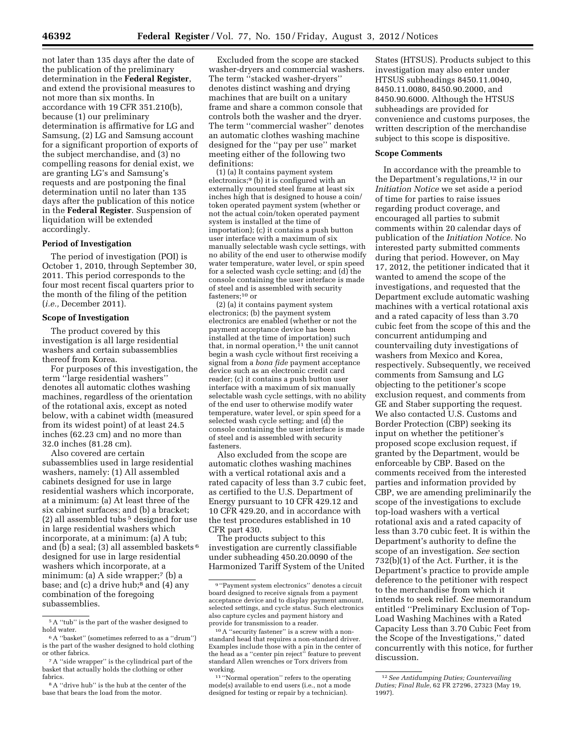not later than 135 days after the date of the publication of the preliminary determination in the **Federal Register**, and extend the provisional measures to not more than six months. In accordance with 19 CFR 351.210(b), because (1) our preliminary determination is affirmative for LG and Samsung, (2) LG and Samsung account for a significant proportion of exports of the subject merchandise, and (3) no compelling reasons for denial exist, we are granting LG's and Samsung's requests and are postponing the final determination until no later than 135 days after the publication of this notice in the **Federal Register**. Suspension of liquidation will be extended accordingly.

#### **Period of Investigation**

The period of investigation (POI) is October 1, 2010, through September 30, 2011. This period corresponds to the four most recent fiscal quarters prior to the month of the filing of the petition (*i.e.,* December 2011).

## **Scope of Investigation**

The product covered by this investigation is all large residential washers and certain subassemblies thereof from Korea.

For purposes of this investigation, the term ''large residential washers'' denotes all automatic clothes washing machines, regardless of the orientation of the rotational axis, except as noted below, with a cabinet width (measured from its widest point) of at least 24.5 inches (62.23 cm) and no more than 32.0 inches (81.28 cm).

Also covered are certain subassemblies used in large residential washers, namely: (1) All assembled cabinets designed for use in large residential washers which incorporate, at a minimum: (a) At least three of the six cabinet surfaces; and (b) a bracket; (2) all assembled tubs 5 designed for use in large residential washers which incorporate, at a minimum: (a) A tub; and (b) a seal; (3) all assembled baskets 6 designed for use in large residential washers which incorporate, at a minimum: (a) A side wrapper;<sup>7</sup> (b) a base; and (c) a drive hub;<sup>8</sup> and (4) any combination of the foregoing subassemblies.

Excluded from the scope are stacked washer-dryers and commercial washers. The term ''stacked washer-dryers'' denotes distinct washing and drying machines that are built on a unitary frame and share a common console that controls both the washer and the dryer. The term ''commercial washer'' denotes an automatic clothes washing machine designed for the ''pay per use'' market meeting either of the following two definitions:

(1) (a) It contains payment system electronics;9 (b) it is configured with an externally mounted steel frame at least six inches high that is designed to house a coin/ token operated payment system (whether or not the actual coin/token operated payment system is installed at the time of importation); (c) it contains a push button user interface with a maximum of six manually selectable wash cycle settings, with no ability of the end user to otherwise modify water temperature, water level, or spin speed for a selected wash cycle setting; and (d) the console containing the user interface is made of steel and is assembled with security fasteners;10 or

(2) (a) it contains payment system electronics; (b) the payment system electronics are enabled (whether or not the payment acceptance device has been installed at the time of importation) such that, in normal operation,  $\frac{1}{1}$  the unit cannot begin a wash cycle without first receiving a signal from a *bona fide* payment acceptance device such as an electronic credit card reader; (c) it contains a push button user interface with a maximum of six manually selectable wash cycle settings, with no ability of the end user to otherwise modify water temperature, water level, or spin speed for a selected wash cycle setting; and (d) the console containing the user interface is made of steel and is assembled with security fasteners.

Also excluded from the scope are automatic clothes washing machines with a vertical rotational axis and a rated capacity of less than 3.7 cubic feet, as certified to the U.S. Department of Energy pursuant to 10 CFR 429.12 and 10 CFR 429.20, and in accordance with the test procedures established in 10 CFR part 430.

The products subject to this investigation are currently classifiable under subheading 450.20.0090 of the Harmonized Tariff System of the United

States (HTSUS). Products subject to this investigation may also enter under HTSUS subheadings 8450.11.0040, 8450.11.0080, 8450.90.2000, and 8450.90.6000. Although the HTSUS subheadings are provided for convenience and customs purposes, the written description of the merchandise subject to this scope is dispositive.

# **Scope Comments**

In accordance with the preamble to the Department's regulations,12 in our *Initiation Notice* we set aside a period of time for parties to raise issues regarding product coverage, and encouraged all parties to submit comments within 20 calendar days of publication of the *Initiation Notice.* No interested party submitted comments during that period. However, on May 17, 2012, the petitioner indicated that it wanted to amend the scope of the investigations, and requested that the Department exclude automatic washing machines with a vertical rotational axis and a rated capacity of less than 3.70 cubic feet from the scope of this and the concurrent antidumping and countervailing duty investigations of washers from Mexico and Korea, respectively. Subsequently, we received comments from Samsung and LG objecting to the petitioner's scope exclusion request, and comments from GE and Staber supporting the request. We also contacted U.S. Customs and Border Protection (CBP) seeking its input on whether the petitioner's proposed scope exclusion request, if granted by the Department, would be enforceable by CBP. Based on the comments received from the interested parties and information provided by CBP, we are amending preliminarily the scope of the investigations to exclude top-load washers with a vertical rotational axis and a rated capacity of less than 3.70 cubic feet. It is within the Department's authority to define the scope of an investigation. *See* section 732(b)(1) of the Act. Further, it is the Department's practice to provide ample deference to the petitioner with respect to the merchandise from which it intends to seek relief. *See* memorandum entitled ''Preliminary Exclusion of Top-Load Washing Machines with a Rated Capacity Less than 3.70 Cubic Feet from the Scope of the Investigations,'' dated concurrently with this notice, for further discussion.

<sup>5</sup>A ''tub'' is the part of the washer designed to hold water.

<sup>6</sup>A ''basket'' (sometimes referred to as a ''drum'') is the part of the washer designed to hold clothing or other fabrics.

<sup>7</sup>A ''side wrapper'' is the cylindrical part of the basket that actually holds the clothing or other fabrics.

<sup>8</sup>A ''drive hub'' is the hub at the center of the base that bears the load from the motor.

<sup>9</sup> ''Payment system electronics'' denotes a circuit board designed to receive signals from a payment acceptance device and to display payment amount, selected settings, and cycle status. Such electronics also capture cycles and payment history and provide for transmission to a reader.

<sup>10</sup>A ''security fastener'' is a screw with a nonstandard head that requires a non-standard driver. Examples include those with a pin in the center of the head as a ''center pin reject'' feature to prevent standard Allen wrenches or Torx drivers from working.

<sup>11</sup> ''Normal operation'' refers to the operating mode(s) available to end users (i.e., not a mode designed for testing or repair by a technician).

<sup>12</sup>*See Antidumping Duties; Countervailing Duties; Final Rule,* 62 FR 27296, 27323 (May 19, 1997).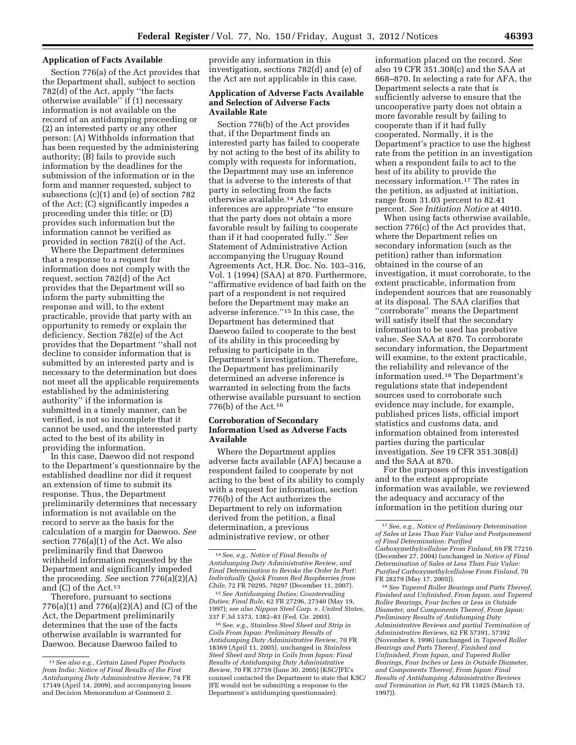## **Application of Facts Available**

Section 776(a) of the Act provides that the Department shall, subject to section 782(d) of the Act, apply ''the facts otherwise available'' if (1) necessary information is not available on the record of an antidumping proceeding or (2) an interested party or any other person: (A) Withholds information that has been requested by the administering authority; (B) fails to provide such information by the deadlines for the submission of the information or in the form and manner requested, subject to subsections (c)(1) and (e) of section 782 of the Act; (C) significantly impedes a proceeding under this title; or (D) provides such information but the information cannot be verified as provided in section 782(i) of the Act.

Where the Department determines that a response to a request for information does not comply with the request, section 782(d) of the Act provides that the Department will so inform the party submitting the response and will, to the extent practicable, provide that party with an opportunity to remedy or explain the deficiency. Section 782(e) of the Act provides that the Department ''shall not decline to consider information that is submitted by an interested party and is necessary to the determination but does not meet all the applicable requirements established by the administering authority'' if the information is submitted in a timely manner, can be verified, is not so incomplete that it cannot be used, and the interested party acted to the best of its ability in providing the information.

In this case, Daewoo did not respond to the Department's questionnaire by the established deadline nor did it request an extension of time to submit its response. Thus, the Department preliminarily determines that necessary information is not available on the record to serve as the basis for the calculation of a margin for Daewoo. *See*  section 776(a)(1) of the Act. We also preliminarily find that Daewoo withheld information requested by the Department and significantly impeded the proceeding. *See* section 776(a)(2)(A) and (C) of the Act.13

Therefore, pursuant to sections 776(a)(1) and 776(a)(2)(A) and (C) of the Act, the Department preliminarily determines that the use of the facts otherwise available is warranted for Daewoo. Because Daewoo failed to

provide any information in this investigation, sections 782(d) and (e) of the Act are not applicable in this case.

## **Application of Adverse Facts Available and Selection of Adverse Facts Available Rate**

Section 776(b) of the Act provides that, if the Department finds an interested party has failed to cooperate by not acting to the best of its ability to comply with requests for information, the Department may use an inference that is adverse to the interests of that party in selecting from the facts otherwise available.14 Adverse inferences are appropriate ''to ensure that the party does not obtain a more favorable result by failing to cooperate than if it had cooperated fully.'' *See*  Statement of Administrative Action accompanying the Uruguay Round Agreements Act, H.R. Doc. No. 103–316, Vol. 1 (1994) (SAA) at 870. Furthermore, ''affirmative evidence of bad faith on the part of a respondent is not required before the Department may make an adverse inference.''15 In this case, the Department has determined that Daewoo failed to cooperate to the best of its ability in this proceeding by refusing to participate in the Department's investigation. Therefore, the Department has preliminarily determined an adverse inference is warranted in selecting from the facts otherwise available pursuant to section 776(b) of the Act.16

# **Corroboration of Secondary Information Used as Adverse Facts Available**

Where the Department applies adverse facts available (AFA) because a respondent failed to cooperate by not acting to the best of its ability to comply with a request for information, section 776(b) of the Act authorizes the Department to rely on information derived from the petition, a final determination, a previous administrative review, or other

15*See Antidumping Duties; Countervailing Duties; Final Rule,* 62 FR 27296, 27340 (May 19, 1997); *see also Nippon Steel Corp.* v. *United States,*  337 F.3d 1373, 1382–83 (Fed. Cir. 2003).

16*See, e.g., Stainless Steel Sheet and Strip in Coils From Japan: Preliminary Results of Antidumping Duty Administrative Review,* 70 FR 18369 (April 11, 2005), unchanged in *Stainless Steel Sheet and Strip in Coils from Japan: Final Results of Antidumping Duty Administrative Review,* 70 FR 37759 (June 30, 2005) (KSC/JFE's counsel contacted the Department to state that KSC/ JFE would not be submitting a response to the Department's antidumping questionnaire).

information placed on the record. *See*  also 19 CFR 351.308(c) and the SAA at 868–870. In selecting a rate for AFA, the Department selects a rate that is sufficiently adverse to ensure that the uncooperative party does not obtain a more favorable result by failing to cooperate than if it had fully cooperated. Normally, it is the Department's practice to use the highest rate from the petition in an investigation when a respondent fails to act to the best of its ability to provide the necessary information.17 The rates in the petition, as adjusted at initiation, range from 31.03 percent to 82.41 percent. *See Initiation Notice* at 4010.

When using facts otherwise available, section 776(c) of the Act provides that, where the Department relies on secondary information (such as the petition) rather than information obtained in the course of an investigation, it must corroborate, to the extent practicable, information from independent sources that are reasonably at its disposal. The SAA clarifies that ''corroborate'' means the Department will satisfy itself that the secondary information to be used has probative value. *See* SAA at 870. To corroborate secondary information, the Department will examine, to the extent practicable, the reliability and relevance of the information used.18 The Department's regulations state that independent sources used to corroborate such evidence may include, for example, published prices lists, official import statistics and customs data, and information obtained from interested parties during the particular investigation. *See* 19 CFR 351.308(d) and the SAA at 870.

For the purposes of this investigation and to the extent appropriate information was available, we reviewed the adequacy and accuracy of the information in the petition during our

18*See Tapered Roller Bearings and Parts Thereof, Finished and Unfinished, From Japan, and Tapered Roller Bearings, Four Inches or Less in Outside Diameter, and Components Thereof, From Japan: Preliminary Results of Antidumping Duty Administrative Reviews and partial Termination of Administrative Reviews,* 62 FR 57391, 57392 (November 6, 1996) (unchanged in *Tapered Roller Bearings and Parts Thereof, Finished and Unfinished, From Japan, and Tapered Roller Bearings, Four Inches or Less in Outside Diameter, and Components Thereof, From Japan: Final Results of Antidumping Administrative Reviews and Termination in Part,* 62 FR 11825 (March 13, 1997)).

<sup>13</sup>*See also e.g., Certain Lined Paper Products from India: Notice of Final Results of the First Antidumping Duty Administrative Review,* 74 FR 17149 (April 14, 2009), and accompanying Issues and Decision Memorandum at Comment 2.

<sup>14</sup>*See, e.g., Notice of Final Results of Antidumping Duty Administrative Review, and Final Determination to Revoke the Order In Part: Individually Quick Frozen Red Raspberries from Chile,* 72 FR 70295, 70297 (December 11, 2007).

<sup>17</sup>*See, e.g., Notice of Preliminary Determination of Sales at Less Than Fair Value and Postponement of Final Determination: Purified Carboxymethylcellulose From Finland,* 69 FR 77216 (December 27, 2004) (unchanged in *Notice of Final Determination of Sales at Less Than Fair Value: Purified Carboxymethylcellulose From Finland,* 70 FR 28279 (May 17, 2005)).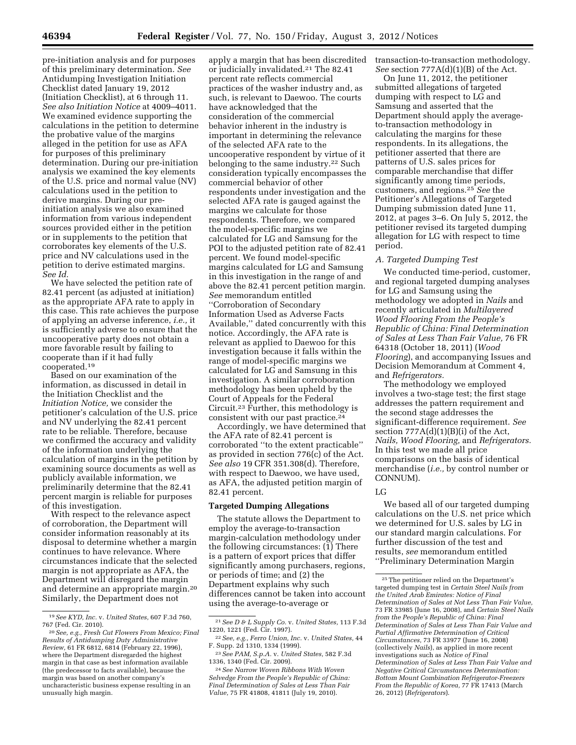pre-initiation analysis and for purposes of this preliminary determination. *See*  Antidumping Investigation Initiation Checklist dated January 19, 2012 (Initiation Checklist), at 6 through 11. *See also Initiation Notice* at 4009–4011. We examined evidence supporting the calculations in the petition to determine the probative value of the margins alleged in the petition for use as AFA for purposes of this preliminary determination. During our pre-initiation analysis we examined the key elements of the U.S. price and normal value (NV) calculations used in the petition to derive margins. During our preinitiation analysis we also examined information from various independent sources provided either in the petition or in supplements to the petition that corroborates key elements of the U.S. price and NV calculations used in the petition to derive estimated margins. *See Id.* 

We have selected the petition rate of 82.41 percent (as adjusted at initiation) as the appropriate AFA rate to apply in this case. This rate achieves the purpose of applying an adverse inference, *i.e.,* it is sufficiently adverse to ensure that the uncooperative party does not obtain a more favorable result by failing to cooperate than if it had fully cooperated.19

Based on our examination of the information, as discussed in detail in the Initiation Checklist and the *Initiation Notice,* we consider the petitioner's calculation of the U.S. price and NV underlying the 82.41 percent rate to be reliable. Therefore, because we confirmed the accuracy and validity of the information underlying the calculation of margins in the petition by examining source documents as well as publicly available information, we preliminarily determine that the 82.41 percent margin is reliable for purposes of this investigation.

With respect to the relevance aspect of corroboration, the Department will consider information reasonably at its disposal to determine whether a margin continues to have relevance. Where circumstances indicate that the selected margin is not appropriate as AFA, the Department will disregard the margin and determine an appropriate margin.20 Similarly, the Department does not

apply a margin that has been discredited or judicially invalidated.21 The 82.41 percent rate reflects commercial practices of the washer industry and, as such, is relevant to Daewoo. The courts have acknowledged that the consideration of the commercial behavior inherent in the industry is important in determining the relevance of the selected AFA rate to the uncooperative respondent by virtue of it belonging to the same industry.22 Such consideration typically encompasses the commercial behavior of other respondents under investigation and the selected AFA rate is gauged against the margins we calculate for those respondents. Therefore, we compared the model-specific margins we calculated for LG and Samsung for the POI to the adjusted petition rate of 82.41 percent. We found model-specific margins calculated for LG and Samsung in this investigation in the range of and above the 82.41 percent petition margin. *See* memorandum entitled ''Corroboration of Secondary Information Used as Adverse Facts Available,'' dated concurrently with this notice. Accordingly, the AFA rate is relevant as applied to Daewoo for this investigation because it falls within the range of model-specific margins we calculated for LG and Samsung in this investigation. A similar corroboration methodology has been upheld by the Court of Appeals for the Federal Circuit.23 Further, this methodology is consistent with our past practice.<sup>24</sup>

Accordingly, we have determined that the AFA rate of 82.41 percent is corroborated ''to the extent practicable'' as provided in section 776(c) of the Act. *See also* 19 CFR 351.308(d). Therefore, with respect to Daewoo, we have used, as AFA, the adjusted petition margin of 82.41 percent.

#### **Targeted Dumping Allegations**

The statute allows the Department to employ the average-to-transaction margin-calculation methodology under the following circumstances: (1) There is a pattern of export prices that differ significantly among purchasers, regions, or periods of time; and (2) the Department explains why such differences cannot be taken into account using the average-to-average or

transaction-to-transaction methodology. *See* section 777A(d)(1)(B) of the Act.

On June 11, 2012, the petitioner submitted allegations of targeted dumping with respect to LG and Samsung and asserted that the Department should apply the averageto-transaction methodology in calculating the margins for these respondents. In its allegations, the petitioner asserted that there are patterns of U.S. sales prices for comparable merchandise that differ significantly among time periods, customers, and regions.25 *See* the Petitioner's Allegations of Targeted Dumping submission dated June 11, 2012, at pages 3–6. On July 5, 2012, the petitioner revised its targeted dumping allegation for LG with respect to time period.

#### *A. Targeted Dumping Test*

We conducted time-period, customer, and regional targeted dumping analyses for LG and Samsung using the methodology we adopted in *Nails* and recently articulated in *Multilayered Wood Flooring From the People's Republic of China: Final Determination of Sales at Less Than Fair Value,* 76 FR 64318 (October 18, 2011) (*Wood Flooring*), and accompanying Issues and Decision Memorandum at Comment 4, and *Refrigerators.* 

The methodology we employed involves a two-stage test; the first stage addresses the pattern requirement and the second stage addresses the significant-difference requirement. *See*  section  $777A(d)(1)(B)(i)$  of the Act, *Nails, Wood Flooring,* and *Refrigerators.*  In this test we made all price comparisons on the basis of identical merchandise (*i.e.,* by control number or CONNUM).

## LG

We based all of our targeted dumping calculations on the U.S. net price which we determined for U.S. sales by LG in our standard margin calculations. For further discussion of the test and results, *see* memorandum entitled ''Preliminary Determination Margin

<sup>19</sup>*See KYD, Inc.* v. *United States,* 607 F.3d 760, 767 (Fed. Cir. 2010).

<sup>20</sup>*See, e.g., Fresh Cut Flowers From Mexico; Final Results of Antidumping Duty Administrative Review,* 61 FR 6812, 6814 (February 22, 1996), where the Department disregarded the highest margin in that case as best information available (the predecessor to facts available), because the margin was based on another company's uncharacteristic business expense resulting in an unusually high margin.

<sup>21</sup>*See D & L Supply Co.* v. *United States,* 113 F.3d 1220, 1221 (Fed. Cir. 1997).

<sup>22</sup>*See, e.g., Ferro Union, Inc.* v. *United States,* 44 F. Supp. 2d 1310, 1334 (1999).

<sup>23</sup>*See PAM, S.p.A.* v. *United States,* 582 F.3d 1336, 1340 (Fed. Cir. 2009).

<sup>24</sup>*See Narrow Woven Ribbons With Woven Selvedge From the People's Republic of China: Final Determination of Sales at Less Than Fair Value,* 75 FR 41808, 41811 (July 19, 2010).

<sup>25</sup>The petitioner relied on the Department's targeted dumping test in *Certain Steel Nails from the United Arab Emirates: Notice of Final Determination of Sales at Not Less Than Fair Value,*  73 FR 33985 (June 16, 2008), and *Certain Steel Nails from the People's Republic of China: Final Determination of Sales at Less Than Fair Value and Partial Affirmative Determination of Critical Circumstances,* 73 FR 33977 (June 16, 2008) (collectively *Nails*), as applied in more recent investigations such as *Notice of Final Determination of Sales at Less Than Fair Value and Negative Critical Circumstances Determination: Bottom Mount Combination Refrigerator-Freezers From the Republic of Korea,* 77 FR 17413 (March 26, 2012) (*Refrigerators*).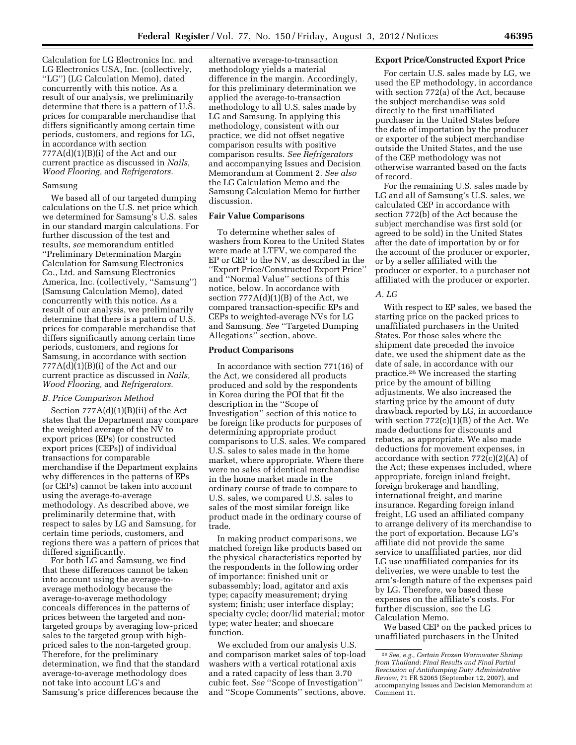Calculation for LG Electronics Inc. and LG Electronics USA, Inc. (collectively, ''LG'') (LG Calculation Memo), dated concurrently with this notice. As a result of our analysis, we preliminarily determine that there is a pattern of U.S. prices for comparable merchandise that differs significantly among certain time periods, customers, and regions for LG, in accordance with section  $777A(d)(1)(B)(i)$  of the Act and our current practice as discussed in *Nails, Wood Flooring,* and *Refrigerators.* 

#### Samsung

We based all of our targeted dumping calculations on the U.S. net price which we determined for Samsung's U.S. sales in our standard margin calculations. For further discussion of the test and results, *see* memorandum entitled ''Preliminary Determination Margin Calculation for Samsung Electronics Co., Ltd. and Samsung Electronics America, Inc. (collectively, ''Samsung'') (Samsung Calculation Memo), dated concurrently with this notice. As a result of our analysis, we preliminarily determine that there is a pattern of U.S. prices for comparable merchandise that differs significantly among certain time periods, customers, and regions for Samsung, in accordance with section 777A(d)(1)(B)(i) of the Act and our current practice as discussed in *Nails, Wood Flooring,* and *Refrigerators.* 

## *B. Price Comparison Method*

Section 777A(d)(1)(B)(ii) of the Act states that the Department may compare the weighted average of the NV to export prices (EPs) (or constructed export prices (CEPs)) of individual transactions for comparable merchandise if the Department explains why differences in the patterns of EPs (or CEPs) cannot be taken into account using the average-to-average methodology. As described above, we preliminarily determine that, with respect to sales by LG and Samsung, for certain time periods, customers, and regions there was a pattern of prices that differed significantly.

For both LG and Samsung, we find that these differences cannot be taken into account using the average-toaverage methodology because the average-to-average methodology conceals differences in the patterns of prices between the targeted and nontargeted groups by averaging low-priced sales to the targeted group with highpriced sales to the non-targeted group. Therefore, for the preliminary determination, we find that the standard average-to-average methodology does not take into account LG's and Samsung's price differences because the

alternative average-to-transaction methodology yields a material difference in the margin. Accordingly, for this preliminary determination we applied the average-to-transaction methodology to all U.S. sales made by LG and Samsung. In applying this methodology, consistent with our practice, we did not offset negative comparison results with positive comparison results. *See Refrigerators*  and accompanying Issues and Decision Memorandum at Comment 2. *See also*  the LG Calculation Memo and the Samsung Calculation Memo for further discussion.

## **Fair Value Comparisons**

To determine whether sales of washers from Korea to the United States were made at LTFV, we compared the EP or CEP to the NV, as described in the ''Export Price/Constructed Export Price'' and ''Normal Value'' sections of this notice, below. In accordance with section 777A(d)(1)(B) of the Act, we compared transaction-specific EPs and CEPs to weighted-average NVs for LG and Samsung. *See* ''Targeted Dumping Allegations'' section, above.

## **Product Comparisons**

In accordance with section 771(16) of the Act, we considered all products produced and sold by the respondents in Korea during the POI that fit the description in the ''Scope of Investigation'' section of this notice to be foreign like products for purposes of determining appropriate product comparisons to U.S. sales. We compared U.S. sales to sales made in the home market, where appropriate. Where there were no sales of identical merchandise in the home market made in the ordinary course of trade to compare to U.S. sales, we compared U.S. sales to sales of the most similar foreign like product made in the ordinary course of trade.

In making product comparisons, we matched foreign like products based on the physical characteristics reported by the respondents in the following order of importance: finished unit or subassembly; load, agitator and axis type; capacity measurement; drying system; finish; user interface display; specialty cycle; door/lid material; motor type; water heater; and shoecare function.

We excluded from our analysis U.S. and comparison market sales of top-load washers with a vertical rotational axis and a rated capacity of less than 3.70 cubic feet. *See* ''Scope of Investigation'' and ''Scope Comments'' sections, above.

#### **Export Price/Constructed Export Price**

For certain U.S. sales made by LG, we used the EP methodology, in accordance with section 772(a) of the Act, because the subject merchandise was sold directly to the first unaffiliated purchaser in the United States before the date of importation by the producer or exporter of the subject merchandise outside the United States, and the use of the CEP methodology was not otherwise warranted based on the facts of record.

For the remaining U.S. sales made by LG and all of Samsung's U.S. sales, we calculated CEP in accordance with section 772(b) of the Act because the subject merchandise was first sold (or agreed to be sold) in the United States after the date of importation by or for the account of the producer or exporter, or by a seller affiliated with the producer or exporter, to a purchaser not affiliated with the producer or exporter.

## *A. LG*

With respect to EP sales, we based the starting price on the packed prices to unaffiliated purchasers in the United States. For those sales where the shipment date preceded the invoice date, we used the shipment date as the date of sale, in accordance with our practice.26 We increased the starting price by the amount of billing adjustments. We also increased the starting price by the amount of duty drawback reported by LG, in accordance with section  $772(c)(1)(B)$  of the Act. We made deductions for discounts and rebates, as appropriate. We also made deductions for movement expenses, in accordance with section  $772(c)(2)(A)$  of the Act; these expenses included, where appropriate, foreign inland freight, foreign brokerage and handling, international freight, and marine insurance. Regarding foreign inland freight, LG used an affiliated company to arrange delivery of its merchandise to the port of exportation. Because LG's affiliate did not provide the same service to unaffiliated parties, nor did LG use unaffiliated companies for its deliveries, we were unable to test the arm's-length nature of the expenses paid by LG. Therefore, we based these expenses on the affiliate's costs. For further discussion, *see* the LG Calculation Memo.

We based CEP on the packed prices to unaffiliated purchasers in the United

<sup>26</sup>*See, e.g., Certain Frozen Warmwater Shrimp from Thailand: Final Results and Final Partial Rescission of Antidumping Duty Administrative Review,* 71 FR 52065 (September 12, 2007), and accompanying Issues and Decision Memorandum at Comment 11.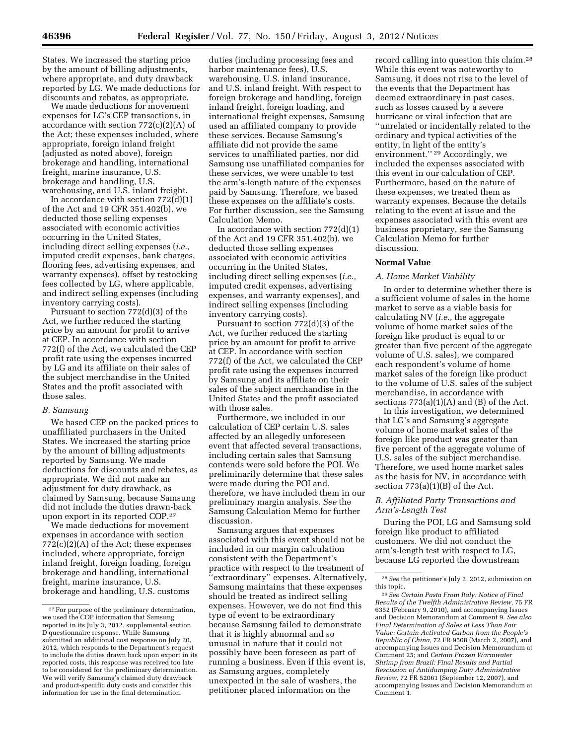States. We increased the starting price by the amount of billing adjustments, where appropriate, and duty drawback reported by LG. We made deductions for discounts and rebates, as appropriate.

We made deductions for movement expenses for LG's CEP transactions, in accordance with section 772(c)(2)(A) of the Act; these expenses included, where appropriate, foreign inland freight (adjusted as noted above), foreign brokerage and handling, international freight, marine insurance, U.S. brokerage and handling, U.S. warehousing, and U.S. inland freight.

In accordance with section  $772(d)(1)$ of the Act and 19 CFR 351.402(b), we deducted those selling expenses associated with economic activities occurring in the United States, including direct selling expenses (*i.e.,*  imputed credit expenses, bank charges, flooring fees, advertising expenses, and warranty expenses), offset by restocking fees collected by LG, where applicable, and indirect selling expenses (including inventory carrying costs).

Pursuant to section 772(d)(3) of the Act, we further reduced the starting price by an amount for profit to arrive at CEP. In accordance with section 772(f) of the Act, we calculated the CEP profit rate using the expenses incurred by LG and its affiliate on their sales of the subject merchandise in the United States and the profit associated with those sales.

## *B. Samsung*

We based CEP on the packed prices to unaffiliated purchasers in the United States. We increased the starting price by the amount of billing adjustments reported by Samsung. We made deductions for discounts and rebates, as appropriate. We did not make an adjustment for duty drawback, as claimed by Samsung, because Samsung did not include the duties drawn-back upon export in its reported COP.27

We made deductions for movement expenses in accordance with section 772(c)(2)(A) of the Act; these expenses included, where appropriate, foreign inland freight, foreign loading, foreign brokerage and handling, international freight, marine insurance, U.S. brokerage and handling, U.S. customs

duties (including processing fees and harbor maintenance fees), U.S. warehousing, U.S. inland insurance, and U.S. inland freight. With respect to foreign brokerage and handling, foreign inland freight, foreign loading, and international freight expenses, Samsung used an affiliated company to provide these services. Because Samsung's affiliate did not provide the same services to unaffiliated parties, nor did Samsung use unaffiliated companies for these services, we were unable to test the arm's-length nature of the expenses paid by Samsung. Therefore, we based these expenses on the affiliate's costs. For further discussion, see the Samsung Calculation Memo.

In accordance with section  $772\text{(d)}(1)$ of the Act and 19 CFR 351.402(b), we deducted those selling expenses associated with economic activities occurring in the United States, including direct selling expenses (*i.e.,*  imputed credit expenses, advertising expenses, and warranty expenses), and indirect selling expenses (including inventory carrying costs).

Pursuant to section 772(d)(3) of the Act, we further reduced the starting price by an amount for profit to arrive at CEP. In accordance with section 772(f) of the Act, we calculated the CEP profit rate using the expenses incurred by Samsung and its affiliate on their sales of the subject merchandise in the United States and the profit associated with those sales.

Furthermore, we included in our calculation of CEP certain U.S. sales affected by an allegedly unforeseen event that affected several transactions, including certain sales that Samsung contends were sold before the POI. We preliminarily determine that these sales were made during the POI and, therefore, we have included them in our preliminary margin analysis. *See* the Samsung Calculation Memo for further discussion.

Samsung argues that expenses associated with this event should not be included in our margin calculation consistent with the Department's practice with respect to the treatment of ''extraordinary'' expenses. Alternatively, Samsung maintains that these expenses should be treated as indirect selling expenses. However, we do not find this type of event to be extraordinary because Samsung failed to demonstrate that it is highly abnormal and so unusual in nature that it could not possibly have been foreseen as part of running a business. Even if this event is, as Samsung argues, completely unexpected in the sale of washers, the petitioner placed information on the

record calling into question this claim.28 While this event was noteworthy to Samsung, it does not rise to the level of the events that the Department has deemed extraordinary in past cases, such as losses caused by a severe hurricane or viral infection that are ''unrelated or incidentally related to the ordinary and typical activities of the entity, in light of the entity's environment.'' 29 Accordingly, we included the expenses associated with this event in our calculation of CEP. Furthermore, based on the nature of these expenses, we treated them as warranty expenses. Because the details relating to the event at issue and the expenses associated with this event are business proprietary, *see* the Samsung Calculation Memo for further discussion.

# **Normal Value**

#### *A. Home Market Viability*

In order to determine whether there is a sufficient volume of sales in the home market to serve as a viable basis for calculating NV (*i.e.,* the aggregate volume of home market sales of the foreign like product is equal to or greater than five percent of the aggregate volume of U.S. sales), we compared each respondent's volume of home market sales of the foreign like product to the volume of U.S. sales of the subject merchandise, in accordance with sections  $773(a)(1)(A)$  and  $(B)$  of the Act.

In this investigation, we determined that LG's and Samsung's aggregate volume of home market sales of the foreign like product was greater than five percent of the aggregate volume of U.S. sales of the subject merchandise. Therefore, we used home market sales as the basis for NV, in accordance with section  $773(a)(1)(B)$  of the Act.

# *B. Affiliated Party Transactions and Arm's-Length Test*

During the POI, LG and Samsung sold foreign like product to affiliated customers. We did not conduct the arm's-length test with respect to LG, because LG reported the downstream

<sup>27</sup>For purpose of the preliminary determination, we used the COP information that Samsung reported in its July 3, 2012, supplemental section D questionnaire response. While Samsung submitted an additional cost response on July 20, 2012, which responds to the Department's request to include the duties drawn back upon export in its reported costs, this response was received too late to be considered for the preliminary determination. We will verify Samsung's claimed duty drawback and product-specific duty costs and consider this information for use in the final determination.

<sup>28</sup>*See* the petitioner's July 2, 2012, submission on this topic.

<sup>29</sup>*See Certain Pasta From Italy: Notice of Final Results of the Twelfth Administrative Review,* 75 FR 6352 (February 9, 2010), and accompanying Issues and Decision Memorandum at Comment 9. *See also Final Determination of Sales at Less Than Fair Value: Certain Activated Carbon from the People's Republic of China,* 72 FR 9508 (March 2, 2007), and accompanying Issues and Decision Memorandum at Comment 25; and *Certain Frozen Warmwater Shrimp from Brazil: Final Results and Partial Rescission of Antidumping Duty Administrative Review,* 72 FR 52061 (September 12, 2007), and accompanying Issues and Decision Memorandum at Comment 1.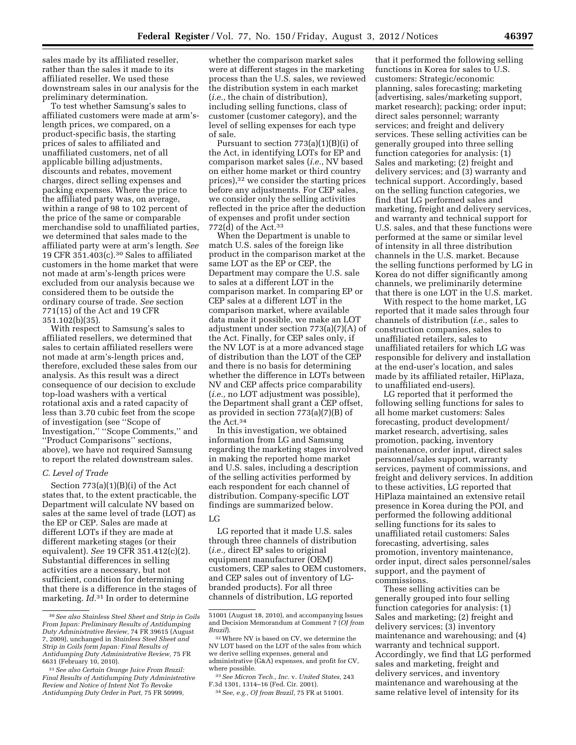sales made by its affiliated reseller, rather than the sales it made to its affiliated reseller. We used these downstream sales in our analysis for the preliminary determination.

To test whether Samsung's sales to affiliated customers were made at arm'slength prices, we compared, on a product-specific basis, the starting prices of sales to affiliated and unaffiliated customers, net of all applicable billing adjustments, discounts and rebates, movement charges, direct selling expenses and packing expenses. Where the price to the affiliated party was, on average, within a range of 98 to 102 percent of the price of the same or comparable merchandise sold to unaffiliated parties, we determined that sales made to the affiliated party were at arm's length. *See*  19 CFR 351.403 $(c)$ .<sup>30</sup> Sales to affiliated customers in the home market that were not made at arm's-length prices were excluded from our analysis because we considered them to be outside the ordinary course of trade. *See* section 771(15) of the Act and 19 CFR 351.102(b)(35).

With respect to Samsung's sales to affiliated resellers, we determined that sales to certain affiliated resellers were not made at arm's-length prices and, therefore, excluded these sales from our analysis. As this result was a direct consequence of our decision to exclude top-load washers with a vertical rotational axis and a rated capacity of less than 3.70 cubic feet from the scope of investigation (see ''Scope of Investigation,'' ''Scope Comments,'' and ''Product Comparisons'' sections, above), we have not required Samsung to report the related downstream sales.

## *C. Level of Trade*

Section 773(a)(1)(B)(i) of the Act states that, to the extent practicable, the Department will calculate NV based on sales at the same level of trade (LOT) as the EP or CEP. Sales are made at different LOTs if they are made at different marketing stages (or their equivalent). *See* 19 CFR 351.412(c)(2). Substantial differences in selling activities are a necessary, but not sufficient, condition for determining that there is a difference in the stages of marketing. *Id.*31 In order to determine

whether the comparison market sales were at different stages in the marketing process than the U.S. sales, we reviewed the distribution system in each market (*i.e.,* the chain of distribution), including selling functions, class of customer (customer category), and the level of selling expenses for each type of sale.

Pursuant to section  $773(a)(1)(B)(i)$  of the Act, in identifying LOTs for EP and comparison market sales (*i.e.,* NV based on either home market or third country prices),32 we consider the starting prices before any adjustments. For CEP sales, we consider only the selling activities reflected in the price after the deduction of expenses and profit under section 772(d) of the Act.33

When the Department is unable to match U.S. sales of the foreign like product in the comparison market at the same LOT as the EP or CEP, the Department may compare the U.S. sale to sales at a different LOT in the comparison market. In comparing EP or CEP sales at a different LOT in the comparison market, where available data make it possible, we make an LOT adjustment under section 773(a)(7)(A) of the Act. Finally, for CEP sales only, if the NV LOT is at a more advanced stage of distribution than the LOT of the CEP and there is no basis for determining whether the difference in LOTs between NV and CEP affects price comparability (*i.e.,* no LOT adjustment was possible), the Department shall grant a CEP offset, as provided in section 773(a)(7)(B) of the Act.34

In this investigation, we obtained information from LG and Samsung regarding the marketing stages involved in making the reported home market and U.S. sales, including a description of the selling activities performed by each respondent for each channel of distribution. Company-specific LOT findings are summarized below.

## LG

LG reported that it made U.S. sales through three channels of distribution (*i.e.,* direct EP sales to original equipment manufacturer (OEM) customers, CEP sales to OEM customers, and CEP sales out of inventory of LGbranded products). For all three channels of distribution, LG reported

that it performed the following selling functions in Korea for sales to U.S. customers: Strategic/economic planning, sales forecasting; marketing (advertising, sales/marketing support, market research); packing; order input; direct sales personnel; warranty services; and freight and delivery services. These selling activities can be generally grouped into three selling function categories for analysis: (1) Sales and marketing; (2) freight and delivery services; and (3) warranty and technical support. Accordingly, based on the selling function categories, we find that LG performed sales and marketing, freight and delivery services, and warranty and technical support for U.S. sales, and that these functions were performed at the same or similar level of intensity in all three distribution channels in the U.S. market. Because the selling functions performed by LG in Korea do not differ significantly among channels, we preliminarily determine that there is one LOT in the U.S. market.

With respect to the home market, LG reported that it made sales through four channels of distribution (*i.e.,* sales to construction companies, sales to unaffiliated retailers, sales to unaffiliated retailers for which LG was responsible for delivery and installation at the end-user's location, and sales made by its affiliated retailer, HiPlaza, to unaffiliated end-users).

LG reported that it performed the following selling functions for sales to all home market customers: Sales forecasting, product development/ market research, advertising, sales promotion, packing, inventory maintenance, order input, direct sales personnel/sales support, warranty services, payment of commissions, and freight and delivery services. In addition to these activities, LG reported that HiPlaza maintained an extensive retail presence in Korea during the POI, and performed the following additional selling functions for its sales to unaffiliated retail customers: Sales forecasting, advertising, sales promotion, inventory maintenance, order input, direct sales personnel/sales support, and the payment of commissions.

These selling activities can be generally grouped into four selling function categories for analysis: (1) Sales and marketing; (2) freight and delivery services; (3) inventory maintenance and warehousing; and (4) warranty and technical support. Accordingly, we find that LG performed sales and marketing, freight and delivery services, and inventory maintenance and warehousing at the same relative level of intensity for its

<sup>30</sup>*See also Stainless Steel Sheet and Strip in Coils From Japan: Preliminary Results of Antidumping Duty Administrative Review,* 74 FR 39615 (August 7, 2009), unchanged in *Stainless Steel Sheet and Strip in Coils form Japan: Final Results of Antidumping Duty Administrative Review,* 75 FR 6631 (February 10, 2010).

<sup>31</sup>*See also Certain Orange Juice From Brazil: Final Results of Antidumping Duty Administrative Review and Notice of Intent Not To Revoke Antidumping Duty Order in Part,* 75 FR 50999,

<sup>51001 (</sup>August 18, 2010), and accompanying Issues and Decision Memorandum at Comment 7 (*OJ from Brazil*).

<sup>32</sup>Where NV is based on CV, we determine the NV LOT based on the LOT of the sales from which we derive selling expenses, general and administrative (G&A) expenses, and profit for CV, where possible.

<sup>33</sup>*See Micron Tech., Inc.* v. *United States,* 243 F.3d 1301, 1314–16 (Fed. Cir. 2001).

<sup>34</sup>*See, e.g., OJ from Brazil,* 75 FR at 51001.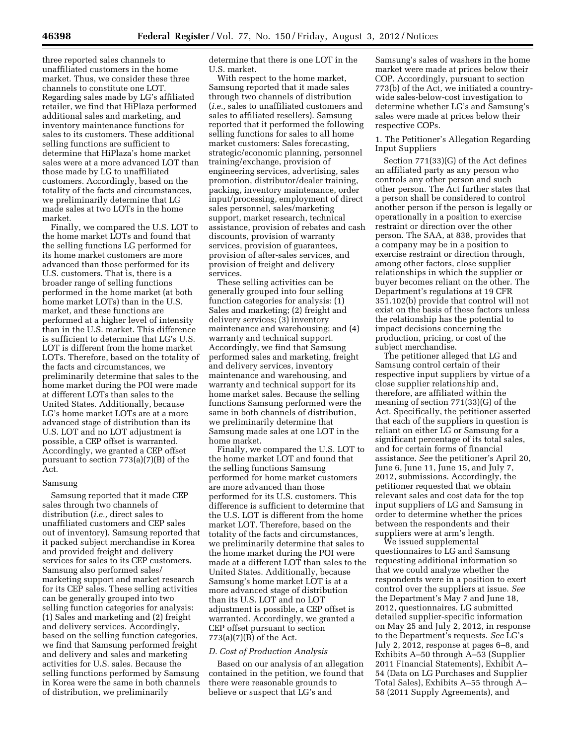three reported sales channels to unaffiliated customers in the home market. Thus, we consider these three channels to constitute one LOT. Regarding sales made by LG's affiliated retailer, we find that HiPlaza performed additional sales and marketing, and inventory maintenance functions for sales to its customers. These additional selling functions are sufficient to determine that HiPlaza's home market sales were at a more advanced LOT than those made by LG to unaffiliated customers. Accordingly, based on the totality of the facts and circumstances, we preliminarily determine that LG made sales at two LOTs in the home market.

Finally, we compared the U.S. LOT to the home market LOTs and found that the selling functions LG performed for its home market customers are more advanced than those performed for its U.S. customers. That is, there is a broader range of selling functions performed in the home market (at both home market LOTs) than in the U.S. market, and these functions are performed at a higher level of intensity than in the U.S. market. This difference is sufficient to determine that LG's U.S. LOT is different from the home market LOTs. Therefore, based on the totality of the facts and circumstances, we preliminarily determine that sales to the home market during the POI were made at different LOTs than sales to the United States. Additionally, because LG's home market LOTs are at a more advanced stage of distribution than its U.S. LOT and no LOT adjustment is possible, a CEP offset is warranted. Accordingly, we granted a CEP offset pursuant to section 773(a)(7)(B) of the Act.

#### Samsung

Samsung reported that it made CEP sales through two channels of distribution (*i.e.,* direct sales to unaffiliated customers and CEP sales out of inventory). Samsung reported that it packed subject merchandise in Korea and provided freight and delivery services for sales to its CEP customers. Samsung also performed sales/ marketing support and market research for its CEP sales. These selling activities can be generally grouped into two selling function categories for analysis: (1) Sales and marketing and (2) freight and delivery services. Accordingly, based on the selling function categories, we find that Samsung performed freight and delivery and sales and marketing activities for U.S. sales. Because the selling functions performed by Samsung in Korea were the same in both channels of distribution, we preliminarily

determine that there is one LOT in the U.S. market.

With respect to the home market, Samsung reported that it made sales through two channels of distribution (*i.e.,* sales to unaffiliated customers and sales to affiliated resellers). Samsung reported that it performed the following selling functions for sales to all home market customers: Sales forecasting, strategic/economic planning, personnel training/exchange, provision of engineering services, advertising, sales promotion, distributor/dealer training, packing, inventory maintenance, order input/processing, employment of direct sales personnel, sales/marketing support, market research, technical assistance, provision of rebates and cash discounts, provision of warranty services, provision of guarantees, provision of after-sales services, and provision of freight and delivery services.

These selling activities can be generally grouped into four selling function categories for analysis: (1) Sales and marketing; (2) freight and delivery services; (3) inventory maintenance and warehousing; and (4) warranty and technical support. Accordingly, we find that Samsung performed sales and marketing, freight and delivery services, inventory maintenance and warehousing, and warranty and technical support for its home market sales. Because the selling functions Samsung performed were the same in both channels of distribution, we preliminarily determine that Samsung made sales at one LOT in the home market.

Finally, we compared the U.S. LOT to the home market LOT and found that the selling functions Samsung performed for home market customers are more advanced than those performed for its U.S. customers. This difference is sufficient to determine that the U.S. LOT is different from the home market LOT. Therefore, based on the totality of the facts and circumstances, we preliminarily determine that sales to the home market during the POI were made at a different LOT than sales to the United States. Additionally, because Samsung's home market LOT is at a more advanced stage of distribution than its U.S. LOT and no LOT adjustment is possible, a CEP offset is warranted. Accordingly, we granted a CEP offset pursuant to section  $773(a)(7)(B)$  of the Act.

#### *D. Cost of Production Analysis*

Based on our analysis of an allegation contained in the petition, we found that there were reasonable grounds to believe or suspect that LG's and

Samsung's sales of washers in the home market were made at prices below their COP. Accordingly, pursuant to section 773(b) of the Act, we initiated a countrywide sales-below-cost investigation to determine whether LG's and Samsung's sales were made at prices below their respective COPs.

# 1. The Petitioner's Allegation Regarding Input Suppliers

Section 771(33)(G) of the Act defines an affiliated party as any person who controls any other person and such other person. The Act further states that a person shall be considered to control another person if the person is legally or operationally in a position to exercise restraint or direction over the other person. The SAA, at 838, provides that a company may be in a position to exercise restraint or direction through, among other factors, close supplier relationships in which the supplier or buyer becomes reliant on the other. The Department's regulations at 19 CFR 351.102(b) provide that control will not exist on the basis of these factors unless the relationship has the potential to impact decisions concerning the production, pricing, or cost of the subject merchandise.

The petitioner alleged that LG and Samsung control certain of their respective input suppliers by virtue of a close supplier relationship and, therefore, are affiliated within the meaning of section 771(33)(G) of the Act. Specifically, the petitioner asserted that each of the suppliers in question is reliant on either LG or Samsung for a significant percentage of its total sales, and for certain forms of financial assistance. *See* the petitioner's April 20, June 6, June 11, June 15, and July 7, 2012, submissions. Accordingly, the petitioner requested that we obtain relevant sales and cost data for the top input suppliers of LG and Samsung in order to determine whether the prices between the respondents and their suppliers were at arm's length.

We issued supplemental questionnaires to LG and Samsung requesting additional information so that we could analyze whether the respondents were in a position to exert control over the suppliers at issue. *See*  the Department's May 7 and June 18, 2012, questionnaires. LG submitted detailed supplier-specific information on May 25 and July 2, 2012, in response to the Department's requests. *See* LG's July 2, 2012, response at pages 6–8, and Exhibits A–50 through A–53 (Supplier 2011 Financial Statements), Exhibit A– 54 (Data on LG Purchases and Supplier Total Sales), Exhibits A–55 through A– 58 (2011 Supply Agreements), and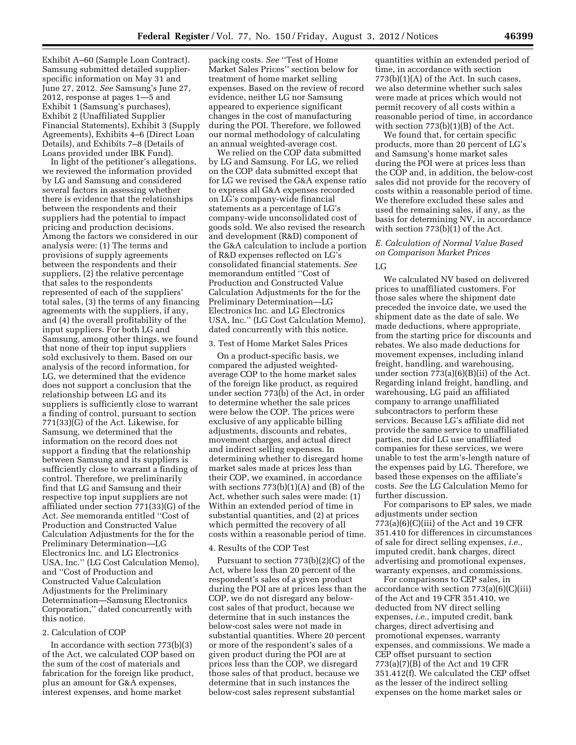Exhibit A–60 (Sample Loan Contract). Samsung submitted detailed supplierspecific information on May 31 and June 27, 2012. *See* Samsung's June 27, 2012, response at pages 1—5 and Exhibit 1 (Samsung's purchases), Exhibit 2 (Unaffiliated Supplier Financial Statements), Exhibit 3 (Supply Agreements), Exhibits 4–6 (Direct Loan Details), and Exhibits 7–8 (Details of Loans provided under IBK Fund).

In light of the petitioner's allegations, we reviewed the information provided by LG and Samsung and considered several factors in assessing whether there is evidence that the relationships between the respondents and their suppliers had the potential to impact pricing and production decisions. Among the factors we considered in our analysis were: (1) The terms and provisions of supply agreements between the respondents and their suppliers, (2) the relative percentage that sales to the respondents represented of each of the suppliers' total sales, (3) the terms of any financing agreements with the suppliers, if any, and (4) the overall profitability of the input suppliers. For both LG and Samsung, among other things, we found that none of their top input suppliers sold exclusively to them. Based on our analysis of the record information, for LG, we determined that the evidence does not support a conclusion that the relationship between LG and its suppliers is sufficiently close to warrant a finding of control, pursuant to section 771(33)(G) of the Act. Likewise, for Samsung, we determined that the information on the record does not support a finding that the relationship between Samsung and its suppliers is sufficiently close to warrant a finding of control. Therefore, we preliminarily find that LG and Samsung and their respective top input suppliers are not affiliated under section 771(33)(G) of the Act. *See* memoranda entitled ''Cost of Production and Constructed Value Calculation Adjustments for the for the Preliminary Determination—LG Electronics Inc. and LG Electronics USA, Inc.'' (LG Cost Calculation Memo), and ''Cost of Production and Constructed Value Calculation Adjustments for the Preliminary Determination—Samsung Electronics Corporation,'' dated concurrently with this notice.

#### 2. Calculation of COP

In accordance with section 773(b)(3) of the Act, we calculated COP based on the sum of the cost of materials and fabrication for the foreign like product, plus an amount for G&A expenses, interest expenses, and home market

packing costs. *See* ''Test of Home Market Sales Prices'' section below for treatment of home market selling expenses. Based on the review of record evidence, neither LG nor Samsung appeared to experience significant changes in the cost of manufacturing during the POI. Therefore, we followed our normal methodology of calculating an annual weighted-average cost.

We relied on the COP data submitted by LG and Samsung. For LG, we relied on the COP data submitted except that for LG we revised the G&A expense ratio to express all G&A expenses recorded on LG's company-wide financial statements as a percentage of LG's company-wide unconsolidated cost of goods sold. We also revised the research and development (R&D) component of the G&A calculation to include a portion of R&D expenses reflected on LG's consolidated financial statements. *See*  memorandum entitled ''Cost of Production and Constructed Value Calculation Adjustments for the for the Preliminary Determination—LG Electronics Inc. and LG Electronics USA, Inc.'' (LG Cost Calculation Memo), dated concurrently with this notice.

#### 3. Test of Home Market Sales Prices

On a product-specific basis, we compared the adjusted weightedaverage COP to the home market sales of the foreign like product, as required under section 773(b) of the Act, in order to determine whether the sale prices were below the COP. The prices were exclusive of any applicable billing adjustments, discounts and rebates, movement charges, and actual direct and indirect selling expenses. In determining whether to disregard home market sales made at prices less than their COP, we examined, in accordance with sections  $773(b)(1)(A)$  and  $(B)$  of the Act, whether such sales were made: (1) Within an extended period of time in substantial quantities, and (2) at prices which permitted the recovery of all costs within a reasonable period of time.

#### 4. Results of the COP Test

Pursuant to section 773(b)(2)(C) of the Act, where less than 20 percent of the respondent's sales of a given product during the POI are at prices less than the COP, we do not disregard any belowcost sales of that product, because we determine that in such instances the below-cost sales were not made in substantial quantities. Where 20 percent or more of the respondent's sales of a given product during the POI are at prices less than the COP, we disregard those sales of that product, because we determine that in such instances the below-cost sales represent substantial

quantities within an extended period of time, in accordance with section  $773(b)(1)(A)$  of the Act. In such cases, we also determine whether such sales were made at prices which would not permit recovery of all costs within a reasonable period of time, in accordance with section 773(b)(1)(B) of the Act.

We found that, for certain specific products, more than 20 percent of LG's and Samsung's home market sales during the POI were at prices less than the COP and, in addition, the below-cost sales did not provide for the recovery of costs within a reasonable period of time. We therefore excluded these sales and used the remaining sales, if any, as the basis for determining NV, in accordance with section 773(b)(1) of the Act.

# *E. Calculation of Normal Value Based on Comparison Market Prices*

## LG

We calculated NV based on delivered prices to unaffiliated customers. For those sales where the shipment date preceded the invoice date, we used the shipment date as the date of sale. We made deductions, where appropriate, from the starting price for discounts and rebates. We also made deductions for movement expenses, including inland freight, handling, and warehousing, under section 773(a)(6)(B)(ii) of the Act. Regarding inland freight, handling, and warehousing, LG paid an affiliated company to arrange unaffiliated subcontractors to perform these services. Because LG's affiliate did not provide the same service to unaffiliated parties, nor did LG use unaffiliated companies for these services, we were unable to test the arm's-length nature of the expenses paid by LG. Therefore, we based these expenses on the affiliate's costs. *See* the LG Calculation Memo for further discussion.

For comparisons to EP sales, we made adjustments under section  $773(a)(6)(C)(iii)$  of the Act and 19 CFR 351.410 for differences in circumstances of sale for direct selling expenses, *i.e.,*  imputed credit, bank charges, direct advertising and promotional expenses, warranty expenses, and commissions.

For comparisons to CEP sales, in accordance with section 773(a)(6)(C)(iii) of the Act and 19 CFR 351.410, we deducted from NV direct selling expenses, *i.e.,* imputed credit, bank charges, direct advertising and promotional expenses, warranty expenses, and commissions. We made a CEP offset pursuant to section 773(a)(7)(B) of the Act and 19 CFR 351.412(f). We calculated the CEP offset as the lesser of the indirect selling expenses on the home market sales or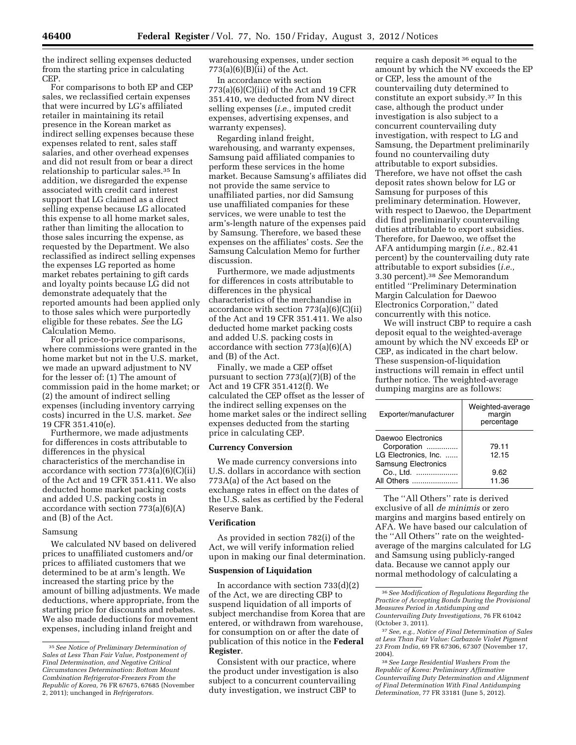the indirect selling expenses deducted from the starting price in calculating CEP.

For comparisons to both EP and CEP sales, we reclassified certain expenses that were incurred by LG's affiliated retailer in maintaining its retail presence in the Korean market as indirect selling expenses because these expenses related to rent, sales staff salaries, and other overhead expenses and did not result from or bear a direct relationship to particular sales.35 In addition, we disregarded the expense associated with credit card interest support that LG claimed as a direct selling expense because LG allocated this expense to all home market sales, rather than limiting the allocation to those sales incurring the expense, as requested by the Department. We also reclassified as indirect selling expenses the expenses LG reported as home market rebates pertaining to gift cards and loyalty points because LG did not demonstrate adequately that the reported amounts had been applied only to those sales which were purportedly eligible for these rebates. *See* the LG Calculation Memo.

For all price-to-price comparisons, where commissions were granted in the home market but not in the U.S. market, we made an upward adjustment to NV for the lesser of: (1) The amount of commission paid in the home market; or (2) the amount of indirect selling expenses (including inventory carrying costs) incurred in the U.S. market. *See*  19 CFR 351.410(e).

Furthermore, we made adjustments for differences in costs attributable to differences in the physical characteristics of the merchandise in accordance with section 773(a)(6)(C)(ii) of the Act and 19 CFR 351.411. We also deducted home market packing costs and added U.S. packing costs in accordance with section 773(a)(6)(A) and (B) of the Act.

#### Samsung

We calculated NV based on delivered prices to unaffiliated customers and/or prices to affiliated customers that we determined to be at arm's length. We increased the starting price by the amount of billing adjustments. We made deductions, where appropriate, from the starting price for discounts and rebates. We also made deductions for movement expenses, including inland freight and

warehousing expenses, under section  $773(a)(6)(B)(ii)$  of the Act.

In accordance with section 773(a)(6)(C)(iii) of the Act and 19 CFR 351.410, we deducted from NV direct selling expenses (*i.e.,* imputed credit expenses, advertising expenses, and warranty expenses).

Regarding inland freight, warehousing, and warranty expenses, Samsung paid affiliated companies to perform these services in the home market. Because Samsung's affiliates did not provide the same service to unaffiliated parties, nor did Samsung use unaffiliated companies for these services, we were unable to test the arm's-length nature of the expenses paid by Samsung. Therefore, we based these expenses on the affiliates' costs. *See* the Samsung Calculation Memo for further discussion.

Furthermore, we made adjustments for differences in costs attributable to differences in the physical characteristics of the merchandise in accordance with section 773(a)(6)(C)(ii) of the Act and 19 CFR 351.411. We also deducted home market packing costs and added U.S. packing costs in accordance with section  $773(a)(6)(A)$ and (B) of the Act.

Finally, we made a CEP offset pursuant to section 773(a)(7)(B) of the Act and 19 CFR 351.412(f). We calculated the CEP offset as the lesser of the indirect selling expenses on the home market sales or the indirect selling expenses deducted from the starting price in calculating CEP.

## **Currency Conversion**

We made currency conversions into U.S. dollars in accordance with section 773A(a) of the Act based on the exchange rates in effect on the dates of the U.S. sales as certified by the Federal Reserve Bank.

# **Verification**

As provided in section 782(i) of the Act, we will verify information relied upon in making our final determination.

#### **Suspension of Liquidation**

In accordance with section  $733(d)(2)$ of the Act, we are directing CBP to suspend liquidation of all imports of subject merchandise from Korea that are entered, or withdrawn from warehouse, for consumption on or after the date of publication of this notice in the **Federal Register**.

Consistent with our practice, where the product under investigation is also subject to a concurrent countervailing duty investigation, we instruct CBP to

require a cash deposit 36 equal to the amount by which the NV exceeds the EP or CEP, less the amount of the countervailing duty determined to constitute an export subsidy.37 In this case, although the product under investigation is also subject to a concurrent countervailing duty investigation, with respect to LG and Samsung, the Department preliminarily found no countervailing duty attributable to export subsidies. Therefore, we have not offset the cash deposit rates shown below for LG or Samsung for purposes of this preliminary determination. However, with respect to Daewoo, the Department did find preliminarily countervailing duties attributable to export subsidies. Therefore, for Daewoo, we offset the AFA antidumping margin (*i.e.,* 82.41 percent) by the countervailing duty rate attributable to export subsidies (*i.e.,*  3.30 percent).38 *See* Memorandum entitled ''Preliminary Determination Margin Calculation for Daewoo Electronics Corporation,'' dated concurrently with this notice.

We will instruct CBP to require a cash deposit equal to the weighted-average amount by which the NV exceeds EP or CEP, as indicated in the chart below. These suspension-of-liquidation instructions will remain in effect until further notice. The weighted-average dumping margins are as follows:

| Exporter/manufacturer                                                                   | Weighted-average<br>margin<br>percentage |
|-----------------------------------------------------------------------------------------|------------------------------------------|
| Daewoo Electronics<br>Corporation<br>LG Electronics, Inc.<br><b>Samsung Electronics</b> | 79.11<br>12.15                           |
| Co., Ltd.<br>All Others                                                                 | 9.62<br>11.36                            |

The ''All Others'' rate is derived exclusive of all *de minimis* or zero margins and margins based entirely on AFA. We have based our calculation of the ''All Others'' rate on the weightedaverage of the margins calculated for LG and Samsung using publicly-ranged data. Because we cannot apply our normal methodology of calculating a

<sup>35</sup>*See Notice of Preliminary Determination of Sales at Less Than Fair Value, Postponement of Final Determination, and Negative Critical Circumstances Determination: Bottom Mount Combination Refrigerator-Freezers From the Republic of Korea,* 76 FR 67675, 67685 (November 2, 2011); unchanged in *Refrigerators.* 

<sup>36</sup>*See Modification of Regulations Regarding the Practice of Accepting Bonds During the Provisional Measures Period in Antidumping and Countervailing Duty Investigations,* 76 FR 61042 (October 3, 2011).

<sup>37</sup>*See, e.g., Notice of Final Determination of Sales at Less Than Fair Value: Carbazole Violet Pigment 23 From India,* 69 FR 67306, 67307 (November 17, 2004).

<sup>38</sup>*See Large Residential Washers From the Republic of Korea: Preliminary Affirmative Countervailing Duty Determination and Alignment of Final Determination With Final Antidumping Determination,* 77 FR 33181 (June 5, 2012).